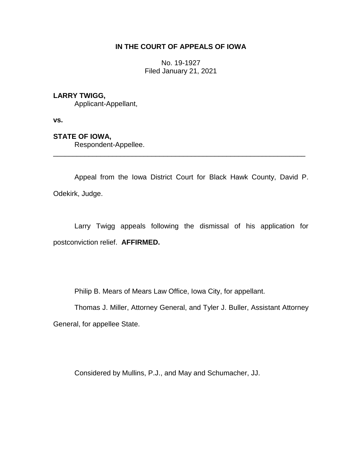## **IN THE COURT OF APPEALS OF IOWA**

No. 19-1927 Filed January 21, 2021

## **LARRY TWIGG,**

Applicant-Appellant,

**vs.**

## **STATE OF IOWA,**

Respondent-Appellee.

Appeal from the Iowa District Court for Black Hawk County, David P. Odekirk, Judge.

\_\_\_\_\_\_\_\_\_\_\_\_\_\_\_\_\_\_\_\_\_\_\_\_\_\_\_\_\_\_\_\_\_\_\_\_\_\_\_\_\_\_\_\_\_\_\_\_\_\_\_\_\_\_\_\_\_\_\_\_\_\_\_\_

Larry Twigg appeals following the dismissal of his application for postconviction relief. **AFFIRMED.**

Philip B. Mears of Mears Law Office, Iowa City, for appellant.

Thomas J. Miller, Attorney General, and Tyler J. Buller, Assistant Attorney General, for appellee State.

Considered by Mullins, P.J., and May and Schumacher, JJ.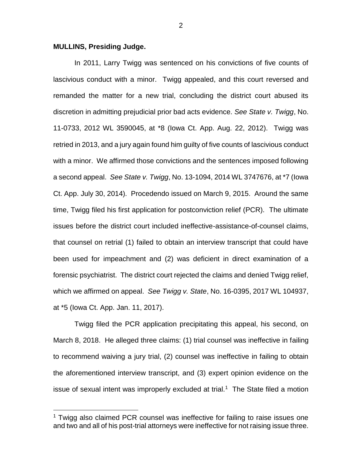## **MULLINS, Presiding Judge.**

 $\overline{a}$ 

In 2011, Larry Twigg was sentenced on his convictions of five counts of lascivious conduct with a minor. Twigg appealed, and this court reversed and remanded the matter for a new trial, concluding the district court abused its discretion in admitting prejudicial prior bad acts evidence. *See State v. Twigg*, No. 11-0733, 2012 WL 3590045, at \*8 (Iowa Ct. App. Aug. 22, 2012). Twigg was retried in 2013, and a jury again found him guilty of five counts of lascivious conduct with a minor. We affirmed those convictions and the sentences imposed following a second appeal. *See State v. Twigg*, No. 13-1094, 2014 WL 3747676, at \*7 (Iowa Ct. App. July 30, 2014). Procedendo issued on March 9, 2015. Around the same time, Twigg filed his first application for postconviction relief (PCR). The ultimate issues before the district court included ineffective-assistance-of-counsel claims, that counsel on retrial (1) failed to obtain an interview transcript that could have been used for impeachment and (2) was deficient in direct examination of a forensic psychiatrist. The district court rejected the claims and denied Twigg relief, which we affirmed on appeal. *See Twigg v. State*, No. 16-0395, 2017 WL 104937, at \*5 (Iowa Ct. App. Jan. 11, 2017).

Twigg filed the PCR application precipitating this appeal, his second, on March 8, 2018. He alleged three claims: (1) trial counsel was ineffective in failing to recommend waiving a jury trial, (2) counsel was ineffective in failing to obtain the aforementioned interview transcript, and (3) expert opinion evidence on the issue of sexual intent was improperly excluded at trial.<sup>1</sup> The State filed a motion

<sup>&</sup>lt;sup>1</sup> Twigg also claimed PCR counsel was ineffective for failing to raise issues one and two and all of his post-trial attorneys were ineffective for not raising issue three.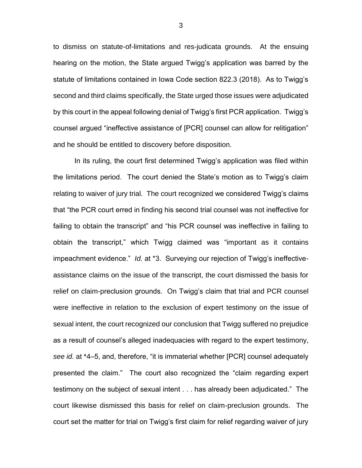to dismiss on statute-of-limitations and res-judicata grounds. At the ensuing hearing on the motion, the State argued Twigg's application was barred by the statute of limitations contained in Iowa Code section 822.3 (2018). As to Twigg's second and third claims specifically, the State urged those issues were adjudicated by this court in the appeal following denial of Twigg's first PCR application. Twigg's counsel argued "ineffective assistance of [PCR] counsel can allow for relitigation" and he should be entitled to discovery before disposition.

In its ruling, the court first determined Twigg's application was filed within the limitations period. The court denied the State's motion as to Twigg's claim relating to waiver of jury trial. The court recognized we considered Twigg's claims that "the PCR court erred in finding his second trial counsel was not ineffective for failing to obtain the transcript" and "his PCR counsel was ineffective in failing to obtain the transcript," which Twigg claimed was "important as it contains impeachment evidence." *Id.* at \*3. Surveying our rejection of Twigg's ineffectiveassistance claims on the issue of the transcript, the court dismissed the basis for relief on claim-preclusion grounds. On Twigg's claim that trial and PCR counsel were ineffective in relation to the exclusion of expert testimony on the issue of sexual intent, the court recognized our conclusion that Twigg suffered no prejudice as a result of counsel's alleged inadequacies with regard to the expert testimony, *see id.* at \*4–5, and, therefore, "it is immaterial whether [PCR] counsel adequately presented the claim." The court also recognized the "claim regarding expert testimony on the subject of sexual intent . . . has already been adjudicated." The court likewise dismissed this basis for relief on claim-preclusion grounds. The court set the matter for trial on Twigg's first claim for relief regarding waiver of jury

3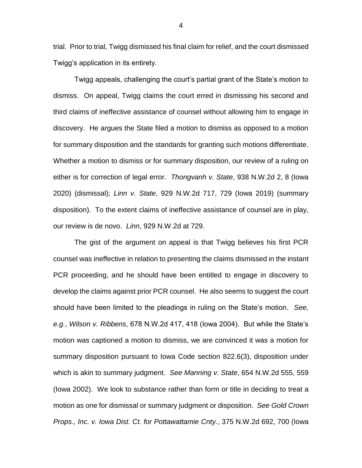trial. Prior to trial, Twigg dismissed his final claim for relief, and the court dismissed Twigg's application in its entirety.

Twigg appeals, challenging the court's partial grant of the State's motion to dismiss. On appeal, Twigg claims the court erred in dismissing his second and third claims of ineffective assistance of counsel without allowing him to engage in discovery. He argues the State filed a motion to dismiss as opposed to a motion for summary disposition and the standards for granting such motions differentiate. Whether a motion to dismiss or for summary disposition, our review of a ruling on either is for correction of legal error. *Thongvanh v. State*, 938 N.W.2d 2, 8 (Iowa 2020) (dismissal); *Linn v. State*, 929 N.W.2d 717, 729 (Iowa 2019) (summary disposition). To the extent claims of ineffective assistance of counsel are in play, our review is de novo. *Linn*, 929 N.W.2d at 729.

The gist of the argument on appeal is that Twigg believes his first PCR counsel was ineffective in relation to presenting the claims dismissed in the instant PCR proceeding, and he should have been entitled to engage in discovery to develop the claims against prior PCR counsel. He also seems to suggest the court should have been limited to the pleadings in ruling on the State's motion. *See, e.g.*, *Wilson v. Ribbens*, 678 N.W.2d 417, 418 (Iowa 2004). But while the State's motion was captioned a motion to dismiss, we are convinced it was a motion for summary disposition pursuant to Iowa Code section 822.6(3), disposition under which is akin to summary judgment. *See Manning v. State*, 654 N.W.2d 555, 559 (Iowa 2002). We look to substance rather than form or title in deciding to treat a motion as one for dismissal or summary judgment or disposition. *See Gold Crown Props., Inc. v. Iowa Dist. Ct. for Pottawattamie Cnty.*, 375 N.W.2d 692, 700 (Iowa

4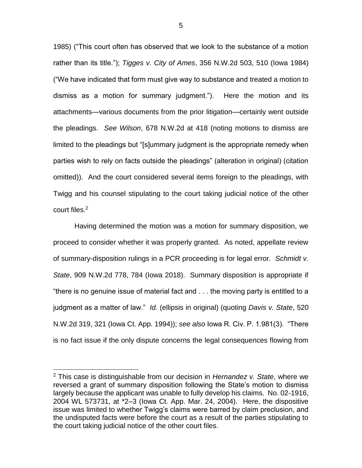1985) ("This court often has observed that we look to the substance of a motion rather than its title."); *Tigges v. City of Ames*, 356 N.W.2d 503, 510 (Iowa 1984) ("We have indicated that form must give way to substance and treated a motion to dismiss as a motion for summary judgment."). Here the motion and its attachments—various documents from the prior litigation—certainly went outside the pleadings. *See Wilson*, 678 N.W.2d at 418 (noting motions to dismiss are limited to the pleadings but "[s]ummary judgment is the appropriate remedy when parties wish to rely on facts outside the pleadings" (alteration in original) (citation omitted)). And the court considered several items foreign to the pleadings, with Twigg and his counsel stipulating to the court taking judicial notice of the other court files.<sup>2</sup>

Having determined the motion was a motion for summary disposition, we proceed to consider whether it was properly granted. As noted, appellate review of summary-disposition rulings in a PCR proceeding is for legal error. *Schmidt v. State*, 909 N.W.2d 778, 784 (Iowa 2018). Summary disposition is appropriate if "there is no genuine issue of material fact and . . . the moving party is entitled to a judgment as a matter of law." *Id.* (ellipsis in original) (quoting *Davis v. State*, 520 N.W.2d 319, 321 (Iowa Ct. App. 1994)); *see also* Iowa R. Civ. P. 1.981(3). "There is no fact issue if the only dispute concerns the legal consequences flowing from

 $\overline{a}$ 

<sup>2</sup> This case is distinguishable from our decision in *Hernandez v. State*, where we reversed a grant of summary disposition following the State's motion to dismiss largely because the applicant was unable to fully develop his claims. No. 02-1916, 2004 WL 573731, at \*2–3 (Iowa Ct. App. Mar. 24, 2004). Here, the dispositive issue was limited to whether Twigg's claims were barred by claim preclusion, and the undisputed facts were before the court as a result of the parties stipulating to the court taking judicial notice of the other court files.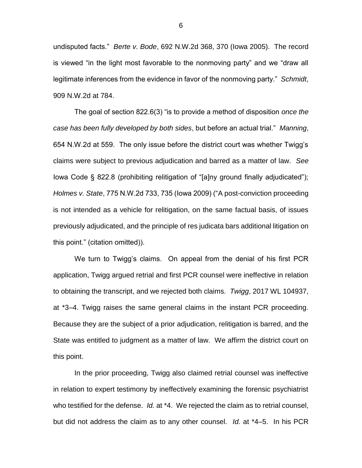undisputed facts." *Berte v. Bode*, 692 N.W.2d 368, 370 (Iowa 2005). The record is viewed "in the light most favorable to the nonmoving party" and we "draw all legitimate inferences from the evidence in favor of the nonmoving party." *Schmidt*, 909 N.W.2d at 784.

The goal of section 822.6(3) "is to provide a method of disposition *once the case has been fully developed by both sides*, but before an actual trial." *Manning*, 654 N.W.2d at 559. The only issue before the district court was whether Twigg's claims were subject to previous adjudication and barred as a matter of law. *See*  Iowa Code § 822.8 (prohibiting relitigation of "[a]ny ground finally adjudicated"); *Holmes v. State*, 775 N.W.2d 733, 735 (Iowa 2009) ("A post-conviction proceeding is not intended as a vehicle for relitigation, on the same factual basis, of issues previously adjudicated, and the principle of res judicata bars additional litigation on this point." (citation omitted)).

We turn to Twigg's claims. On appeal from the denial of his first PCR application, Twigg argued retrial and first PCR counsel were ineffective in relation to obtaining the transcript, and we rejected both claims. *Twigg*, 2017 WL 104937, at \*3–4. Twigg raises the same general claims in the instant PCR proceeding. Because they are the subject of a prior adjudication, relitigation is barred, and the State was entitled to judgment as a matter of law. We affirm the district court on this point.

In the prior proceeding, Twigg also claimed retrial counsel was ineffective in relation to expert testimony by ineffectively examining the forensic psychiatrist who testified for the defense. *Id.* at \*4. We rejected the claim as to retrial counsel, but did not address the claim as to any other counsel. *Id.* at \*4–5. In his PCR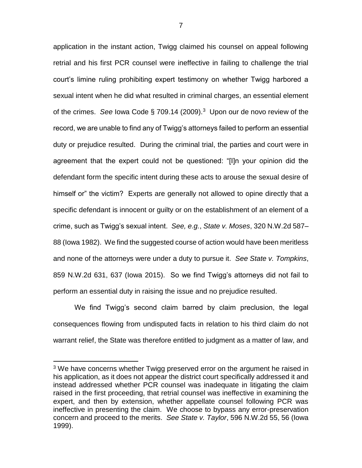application in the instant action, Twigg claimed his counsel on appeal following retrial and his first PCR counsel were ineffective in failing to challenge the trial court's limine ruling prohibiting expert testimony on whether Twigg harbored a sexual intent when he did what resulted in criminal charges, an essential element of the crimes. *See* Iowa Code § 709.14 (2009).<sup>3</sup> Upon our de novo review of the record, we are unable to find any of Twigg's attorneys failed to perform an essential duty or prejudice resulted. During the criminal trial, the parties and court were in agreement that the expert could not be questioned: "[I]n your opinion did the defendant form the specific intent during these acts to arouse the sexual desire of himself or" the victim? Experts are generally not allowed to opine directly that a specific defendant is innocent or guilty or on the establishment of an element of a crime, such as Twigg's sexual intent. *See, e.g.*, *State v. Moses*, 320 N.W.2d 587– 88 (Iowa 1982). We find the suggested course of action would have been meritless and none of the attorneys were under a duty to pursue it. *See State v. Tompkins*, 859 N.W.2d 631, 637 (Iowa 2015).So we find Twigg's attorneys did not fail to perform an essential duty in raising the issue and no prejudice resulted.

We find Twigg's second claim barred by claim preclusion, the legal consequences flowing from undisputed facts in relation to his third claim do not warrant relief, the State was therefore entitled to judgment as a matter of law, and

 $\overline{a}$ 

 $3$  We have concerns whether Twigg preserved error on the argument he raised in his application, as it does not appear the district court specifically addressed it and instead addressed whether PCR counsel was inadequate in litigating the claim raised in the first proceeding, that retrial counsel was ineffective in examining the expert, and then by extension, whether appellate counsel following PCR was ineffective in presenting the claim. We choose to bypass any error-preservation concern and proceed to the merits. *See State v. Taylor*, 596 N.W.2d 55, 56 (Iowa 1999).